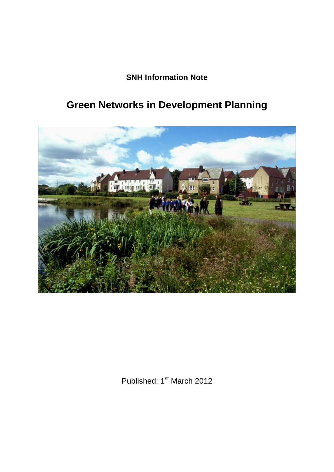**SNH Information Note** 

# **Green Networks in Development Planning**



Published: 1<sup>st</sup> March 2012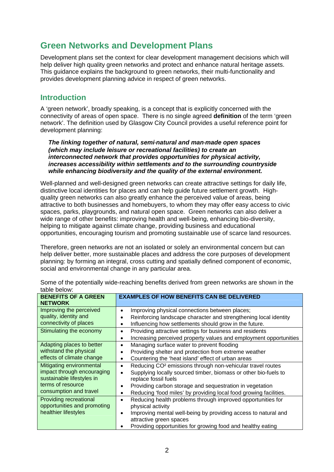# **Green Networks and Development Plans**

Development plans set the context for clear development management decisions which will help deliver high quality green networks and protect and enhance natural heritage assets. This guidance explains the background to green networks, their multi-functionality and provides development planning advice in respect of green networks.

#### **Introduction**

A 'green network', broadly speaking, is a concept that is explicitly concerned with the connectivity of areas of open space. There is no single agreed **definition** of the term 'green network'. The definition used by Glasgow City Council provides a useful reference point for development planning:

*The linking together of natural, semi‐natural and man‐made open spaces (which may include leisure or recreational facilities) to create an interconnected network that provides opportunities for physical activity, increases accessibility within settlements and to the surrounding countryside while enhancing biodiversity and the quality of the external environment.*

Well-planned and well-designed green networks can create attractive settings for daily life, distinctive local identities for places and can help guide future settlement growth. Highquality green networks can also greatly enhance the perceived value of areas, being attractive to both businesses and homebuyers, to whom they may offer easy access to civic spaces, parks, playgrounds, and natural open space. Green networks can also deliver a wide range of other benefits: improving health and well-being, enhancing bio-diversity, helping to mitigate against climate change, providing business and educational opportunities, encouraging tourism and promoting sustainable use of scarce land resources.

Therefore, green networks are not an isolated or solely an environmental concern but can help deliver better, more sustainable places and address the core purposes of development planning: by forming an integral, cross cutting and spatially defined component of economic, social and environmental change in any particular area.

| <b>BENEFITS OF A GREEN</b><br><b>NETWORK</b> | <b>EXAMPLES OF HOW BENEFITS CAN BE DELIVERED</b>                                    |
|----------------------------------------------|-------------------------------------------------------------------------------------|
| Improving the perceived                      | Improving physical connections between places;<br>$\bullet$                         |
| quality, identity and                        | Reinforcing landscape character and strengthening local identity<br>$\bullet$       |
| connectivity of places                       | Influencing how settlements should grow in the future.<br>$\bullet$                 |
| Stimulating the economy                      | Providing attractive settings for business and residents<br>$\bullet$               |
|                                              | Increasing perceived property values and employment opportunities<br>$\bullet$      |
| Adapting places to better                    | Managing surface water to prevent flooding<br>$\bullet$                             |
| withstand the physical                       | Providing shelter and protection from extreme weather<br>$\bullet$                  |
| effects of climate change                    | Countering the 'heat island' effect of urban areas<br>$\bullet$                     |
| Mitigating environmental                     | Reducing CO <sup>2</sup> emissions through non-vehicular travel routes<br>$\bullet$ |
| impact through encouraging                   | Supplying locally sourced timber, biomass or other bio-fuels to<br>$\bullet$        |
| sustainable lifestyles in                    | replace fossil fuels                                                                |
| terms of resource                            | Providing carbon storage and sequestration in vegetation<br>$\bullet$               |
| consumption and travel                       | Reducing 'food miles' by providing local food growing facilities.<br>$\bullet$      |
| Providing recreational                       | Reducing health problems through improved opportunities for<br>$\bullet$            |
| opportunities and promoting                  | physical activity                                                                   |
| healthier lifestyles                         | Improving mental well-being by providing access to natural and<br>$\bullet$         |
|                                              | attractive green spaces                                                             |
|                                              | Providing opportunities for growing food and healthy eating                         |

Some of the potentially wide-reaching benefits derived from green networks are shown in the table below: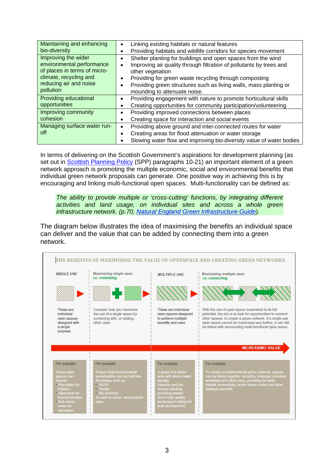| Maintaining and enhancing<br>bio-diversity                                                                                                        | Linking existing habitats or natural features<br>$\bullet$<br>Providing habitats and wildlife corridors for species movement<br>٠                                                                                                                                                                                                                                          |
|---------------------------------------------------------------------------------------------------------------------------------------------------|----------------------------------------------------------------------------------------------------------------------------------------------------------------------------------------------------------------------------------------------------------------------------------------------------------------------------------------------------------------------------|
| Improving the wider<br>environmental performance<br>of places in terms of micro-<br>climate, recycling and<br>reducing air and noise<br>pollution | Shelter planting for buildings and open spaces from the wind<br>$\bullet$<br>Improving air quality through filtration of pollutants by trees and<br>$\bullet$<br>other vegetation<br>Providing for green waste recycling through composting<br>$\bullet$<br>Providing green structures such as living walls, mass planting or<br>$\bullet$<br>mounding to attenuate noise. |
| Providing educational<br>opportunities                                                                                                            | Providing engagement with nature to promote horticultural skills<br>$\bullet$<br>Creating opportunities for community participation/volunteering<br>$\bullet$                                                                                                                                                                                                              |
| Improving community<br>cohesion                                                                                                                   | Providing improved connections between places<br>٠<br>Creating space for interaction and social events<br>$\bullet$                                                                                                                                                                                                                                                        |
| Managing surface water run-<br>off                                                                                                                | Providing above ground and inter-connected routes for water<br>$\bullet$<br>Creating areas for flood attenuation or water storage<br>$\bullet$<br>Slowing water flow and improving bio-diversity value of water bodies                                                                                                                                                     |

In terms of delivering on the Scottish Government's aspirations for development planning (as set out in **[Scottish Planning Policy](http://www.scotland.gov.uk/Resource/Doc/300760/0093908.pdf)** (SPP) paragraphs 10-21) an important element of a green network approach is promoting the multiple economic, social and environmental benefits that individual green network proposals can generate. One positive way in achieving this is by encouraging and linking multi-functional open spaces. Multi-functionality can be defined as:

*The ability to provide multiple or 'cross-cutting' functions, by integrating different activities and land usage, on individual sites and across a whole green infrastructure network. (p.70, [Natural England Green Infrastructure Guide](http://naturalengland.etraderstores.com/NaturalEnglandShop/NE176)).*

The diagram below illustrates the idea of maximising the benefits an individual space can deliver and the value that can be added by connecting them into a green network.

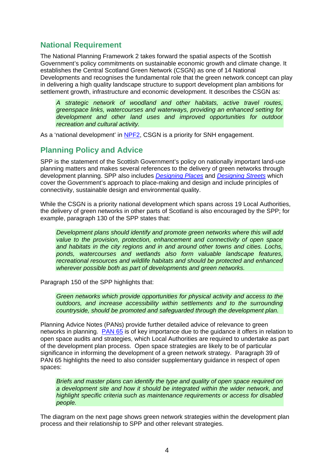### **National Requirement**

The National Planning Framework 2 takes forward the spatial aspects of the Scottish Government's policy commitments on sustainable economic growth and climate change. It establishes the Central Scotland Green Network (CSGN) as one of 14 National Developments and recognises the fundamental role that the green network concept can play in delivering a high quality landscape structure to support development plan ambitions for settlement growth, infrastructure and economic development. It describes the CSGN as:

*A strategic network of woodland and other habitats, active travel routes, greenspace links, watercourses and waterways, providing an enhanced setting for development and other land uses and improved opportunities for outdoor recreation and cultural activity.*

As a 'national development' in [NPF2](http://www.scotland.gov.uk/Resource/Doc/278232/0083591.pdf), CSGN is a priority for SNH engagement.

## **Planning Policy and Advice**

SPP is the statement of the Scottish Government's policy on nationally important land-use planning matters and makes several references to the delivery of green networks through development planning. SPP also includes *[Designing Places](http://www.scotland.gov.uk/Topics/Built-Environment/planning/National-Planning-Policy/Designing)* and *[Designing Streets](http://www.scotland.gov.uk/Resource/Doc/212607/0099824.pdf)* which cover the Government's approach to place-making and design and include principles of connectivity, sustainable design and environmental quality.

While the CSGN is a priority national development which spans across 19 Local Authorities, the delivery of green networks in other parts of Scotland is also encouraged by the SPP; for example, paragraph 130 of the SPP states that:

*Development plans should identify and promote green networks where this will add value to the provision, protection, enhancement and connectivity of open space and habitats in the city regions and in and around other towns and cities. Lochs, ponds, watercourses and wetlands also form valuable landscape features, recreational resources and wildlife habitats and should be protected and enhanced wherever possible both as part of developments and green networks.*

Paragraph 150 of the SPP highlights that:

*Green networks which provide opportunities for physical activity and access to the outdoors, and increase accessibility within settlements and to the surrounding countryside, should be promoted and safeguarded through the development plan.*

Planning Advice Notes (PANs) provide further detailed advice of relevance to green networks in planning. [PAN 65](http://www.scotland.gov.uk/Resource/Doc/225179/0060935.pdf) is of key importance due to the guidance it offers in relation to open space audits and strategies, which Local Authorities are required to undertake as part of the development plan process. Open space strategies are likely to be of particular significance in informing the development of a green network strategy. Paragraph 39 of PAN 65 highlights the need to also consider supplementary guidance in respect of open spaces:

*Briefs and master plans can identify the type and quality of open space required on a development site and how it should be integrated within the wider network, and highlight specific criteria such as maintenance requirements or access for disabled people.* 

The diagram on the next page shows green network strategies within the development plan process and their relationship to SPP and other relevant strategies.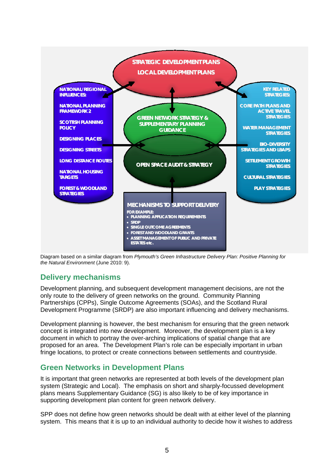

Diagram based on a similar diagram from *Plymouth's Green Infrastructure Delivery Plan: Positive Planning for the Natural Environment* (June 2010: 9).

#### **Delivery mechanisms**

Development planning, and subsequent development management decisions, are not the only route to the delivery of green networks on the ground. Community Planning Partnerships (CPPs), Single Outcome Agreements (SOAs), and the Scotland Rural Development Programme (SRDP) are also important influencing and delivery mechanisms.

Development planning is however, the best mechanism for ensuring that the green network concept is integrated into new development. Moreover, the development plan is a key document in which to portray the over-arching implications of spatial change that are proposed for an area. The Development Plan's role can be especially important in urban fringe locations, to protect or create connections between settlements and countryside.

#### **Green Networks in Development Plans**

It is important that green networks are represented at both levels of the development plan system (Strategic and Local). The emphasis on short and sharply-focussed development plans means Supplementary Guidance (SG) is also likely to be of key importance in supporting development plan content for green network delivery.

SPP does not define how green networks should be dealt with at either level of the planning system. This means that it is up to an individual authority to decide how it wishes to address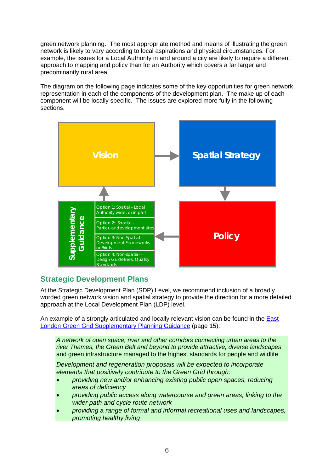green network planning. The most appropriate method and means of illustrating the green network is likely to vary according to local aspirations and physical circumstances. For example, the issues for a Local Authority in and around a city are likely to require a different approach to mapping and policy than for an Authority which covers a far larger and predominantly rural area.

The diagram on the following page indicates some of the key opportunities for green network representation in each of the components of the development plan. The make up of each component will be locally specific. The issues are explored more fully in the following sections.



## **Strategic Development Plans**

At the Strategic Development Plan (SDP) Level, we recommend inclusion of a broadly worded green network vision and spatial strategy to provide the direction for a more detailed approach at the Local Development Plan (LDP) level.

An example of a strongly articulated and locally relevant vision can be found in the [East](http://legacy.london.gov.uk/mayor/strategies/sds/docs/spg-east-lon-green-grid-08.pdf)  [London Green Grid Supplementary Planning Guidance](http://legacy.london.gov.uk/mayor/strategies/sds/docs/spg-east-lon-green-grid-08.pdf) (page 15):

*A network of open space, river and other corridors connecting urban areas to the river Thames, the Green Belt and beyond to provide attractive, diverse landscapes*  and green infrastructure managed to the highest standards for people and wildlife.

*Development and regeneration proposals will be expected to incorporate elements that positively contribute to the Green Grid through:* 

- *providing new and/or enhancing existing public open spaces, reducing areas of deficiency*
- *providing public access along watercourse and green areas, linking to the wider path and cycle route network*
- *providing a range of formal and informal recreational uses and landscapes, promoting healthy living*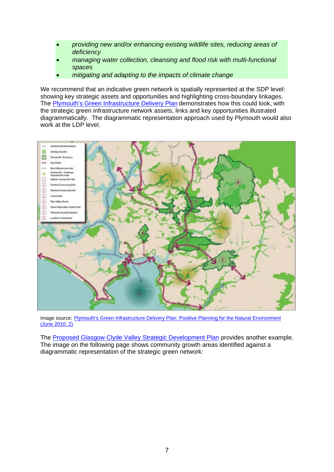- *providing new and/or enhancing existing wildlife sites, reducing areas of deficiency*
- *managing water collection, cleansing and flood risk with multi-functional spaces*
- *mitigating and adapting to the impacts of climate change*

We recommend that an indicative green network is spatially represented at the SDP level: showing key strategic assets and opportunities and highlighting cross-boundary linkages. The [Plymouth's Green Infrastructure Delivery Plan](http://www.plymouth.gov.uk/green_infrastructure_delivery_plan.pdf) demonstrates how this could look, with the strategic green infrastructure network assets, links and key opportunities illustrated diagrammatically. The diagrammatic representation approach used by Plymouth would also work at the LDP level.



Image source: [Plymouth's Green Infrastructure Delivery Plan: Positive Planning for the Natural Environment](http://www.plymouth.gov.uk/green_infrastructure_delivery_plan.pdf)  [\(June 2010: 2\)](http://www.plymouth.gov.uk/green_infrastructure_delivery_plan.pdf)

The [Proposed Glasgow Clyde Valley Strategic Development Plan](http://www.gcvsdpa.gov.uk/images/stories/documents/Strategic%20Development%20Plan%20Proposed%20Plan%20June%202011%20-%20low%20resolution.pdf) provides another example. The image on the following page shows community growth areas identified against a diagrammatic representation of the strategic green network: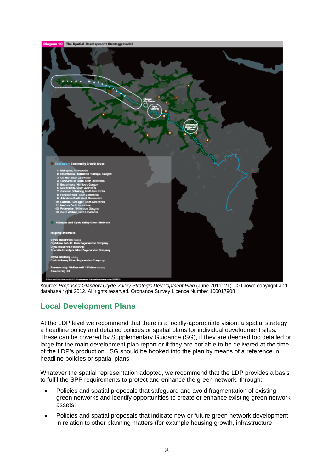

Source: *[Proposed Glasgow Clyde Valley Strategic Development Plan](http://www.gcvsdpa.gov.uk/images/stories/documents/Strategic%20Development%20Plan%20Proposed%20Plan%20June%202011%20-%20low%20resolution.pdf)* (June 2011: 21). © Crown copyright and database right 2012. All rights reserved. Ordnance Survey Licence Number 100017908

# **Local Development Plans**

At the LDP level we recommend that there is a locally-appropriate vision, a spatial strategy, a headline policy and detailed policies or spatial plans for individual development sites. These can be covered by Supplementary Guidance (SG), if they are deemed too detailed or large for the main development plan report or if they are not able to be delivered at the time of the LDP's production. SG should be hooked into the plan by means of a reference in headline policies or spatial plans.

Whatever the spatial representation adopted, we recommend that the LDP provides a basis to fulfil the SPP requirements to protect and enhance the green network, through:

- Policies and spatial proposals that safeguard and avoid fragmentation of existing green networks and identify opportunities to create or enhance existing green network assets;
- Policies and spatial proposals that indicate new or future green network development in relation to other planning matters (for example housing growth, infrastructure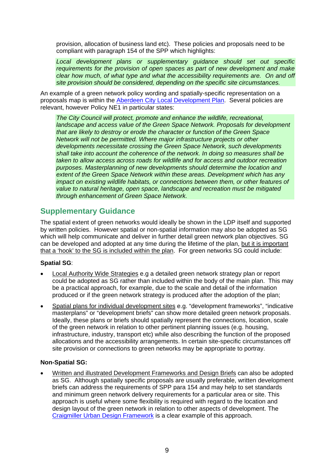provision, allocation of business land etc). These policies and proposals need to be compliant with paragraph 154 of the SPP which highlights:

*Local development plans or supplementary guidance should set out specific requirements for the provision of open spaces as part of new development and make clear how much, of what type and what the accessibility requirements are. On and off site provision should be considered, depending on the specific site circumstances.*

An example of a green network policy wording and spatially-specific representation on a proposals map is within the [Aberdeen City Local Development Plan.](http://www.aberdeencity.gov.uk/Planning/ldp/pla_local_development_plan.asp) Several policies are relevant, however Policy NE1 in particular states:

*The City Council will protect, promote and enhance the wildlife, recreational, landscape and access value of the Green Space Network. Proposals for development that are likely to destroy or erode the character or function of the Green Space Network will not be permitted. Where major infrastructure projects or other developments necessitate crossing the Green Space Network, such developments shall take into account the coherence of the network. In doing so measures shall be taken to allow access across roads for wildlife and for access and outdoor recreation purposes. Masterplanning of new developments should determine the location and extent of the Green Space Network within these areas. Development which has any impact on existing wildlife habitats, or connections between them, or other features of value to natural heritage, open space, landscape and recreation must be mitigated through enhancement of Green Space Network.* 

### **Supplementary Guidance**

The spatial extent of green networks would ideally be shown in the LDP itself and supported by written policies. However spatial or non-spatial information may also be adopted as SG which will help communicate and deliver in further detail green network plan objectives. SG can be developed and adopted at any time during the lifetime of the plan, but it is important that a 'hook' to the SG is included within the plan. For green networks SG could include:

#### **Spatial SG**:

- Local Authority Wide Strategies e.g a detailed green network strategy plan or report could be adopted as SG rather than included within the body of the main plan. This may be a practical approach, for example, due to the scale and detail of the information produced or if the green network strategy is produced after the adoption of the plan;
- Spatial plans for individual development sites e.g. "development frameworks", "indicative masterplans" or "development briefs" can show more detailed green network proposals. Ideally, these plans or briefs should spatially represent the connections, location, scale of the green network in relation to other pertinent planning issues (e.g. housing, infrastructure, industry, transport etc) while also describing the function of the proposed allocations and the accessibility arrangements. In certain site-specific circumstances off site provision or connections to green networks may be appropriate to portray.

#### **Non-Spatial SG:**

 Written and illustrated Development Frameworks and Design Briefs can also be adopted as SG. Although spatially specific proposals are usually preferable, written development briefs can address the requirements of SPP para 154 and may help to set standards and minimum green network delivery requirements for a particular area or site. This approach is useful where some flexibility is required with regard to the location and design layout of the green network in relation to other aspects of development. The [Craigmiller Urban Design Framework](http://www.edinburgh.gov.uk/downloads/file/1892/craigmillar_urban_design_framework) is a clear example of this approach.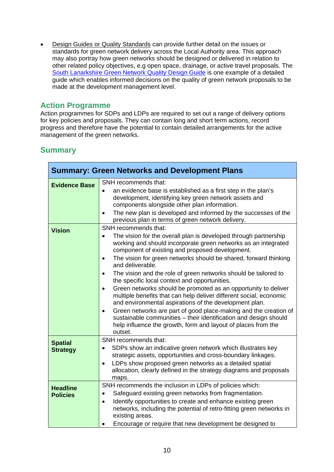• Design Guides or Quality Standards can provide further detail on the issues or standards for green network delivery across the Local Authority area. This approach may also portray how green networks should be designed or delivered in relation to other related policy objectives, e.g open space, drainage, or active travel proposals. The [South Lanarkshire Green Network Quality Design Guide](http://gcvgreennetwork.gov.uk/component/option,com_docman/Itemid,78/gid,59/task,doc_download) is one example of a detailed guide which enables informed decisions on the quality of green network proposals to be made at the development management level.

## **Action Programme**

Action programmes for SDPs and LDPs are required to set out a range of delivery options for key policies and proposals. They can contain long and short term actions, record progress and therefore have the potential to contain detailed arrangements for the active management of the green networks.

### **Summary**

| <b>Summary: Green Networks and Development Plans</b> |                                                                                                                                                                                                                                                                                                                                                                                                                                                                                                                                                                                                                                                                                                                                                                                                                                                                                                                  |  |
|------------------------------------------------------|------------------------------------------------------------------------------------------------------------------------------------------------------------------------------------------------------------------------------------------------------------------------------------------------------------------------------------------------------------------------------------------------------------------------------------------------------------------------------------------------------------------------------------------------------------------------------------------------------------------------------------------------------------------------------------------------------------------------------------------------------------------------------------------------------------------------------------------------------------------------------------------------------------------|--|
| <b>Evidence Base</b>                                 | SNH recommends that:<br>an evidence base is established as a first step in the plan's<br>$\bullet$<br>development, identifying key green network assets and<br>components alongside other plan information.<br>The new plan is developed and informed by the successes of the<br>٠<br>previous plan in terms of green network delivery.                                                                                                                                                                                                                                                                                                                                                                                                                                                                                                                                                                          |  |
| <b>Vision</b>                                        | SNH recommends that:<br>The vision for the overall plan is developed through partnership<br>$\bullet$<br>working and should incorporate green networks as an integrated<br>component of existing and proposed development.<br>The vision for green networks should be shared, forward thinking<br>$\bullet$<br>and deliverable.<br>The vision and the role of green networks should be tailored to<br>$\bullet$<br>the specific local context and opportunities.<br>Green networks should be promoted as an opportunity to deliver<br>$\bullet$<br>multiple benefits that can help deliver different social, economic<br>and environmental aspirations of the development plan.<br>Green networks are part of good place-making and the creation of<br>$\bullet$<br>sustainable communities - their identification and design should<br>help influence the growth, form and layout of places from the<br>outset. |  |
| <b>Spatial</b><br><b>Strategy</b>                    | SNH recommends that:<br>SDPs show an indicative green network which illustrates key<br>$\bullet$<br>strategic assets, opportunities and cross-boundary linkages.<br>LDPs show proposed green networks as a detailed spatial<br>$\bullet$<br>allocation, clearly defined in the strategy diagrams and proposals<br>maps.                                                                                                                                                                                                                                                                                                                                                                                                                                                                                                                                                                                          |  |
| <b>Headline</b><br><b>Policies</b>                   | SNH recommends the inclusion in LDPs of policies which:<br>Safeguard existing green networks from fragmentation.<br>$\bullet$<br>Identify opportunities to create and enhance existing green<br>$\bullet$<br>networks, including the potential of retro-fitting green networks in<br>existing areas.<br>Encourage or require that new development be designed to                                                                                                                                                                                                                                                                                                                                                                                                                                                                                                                                                 |  |